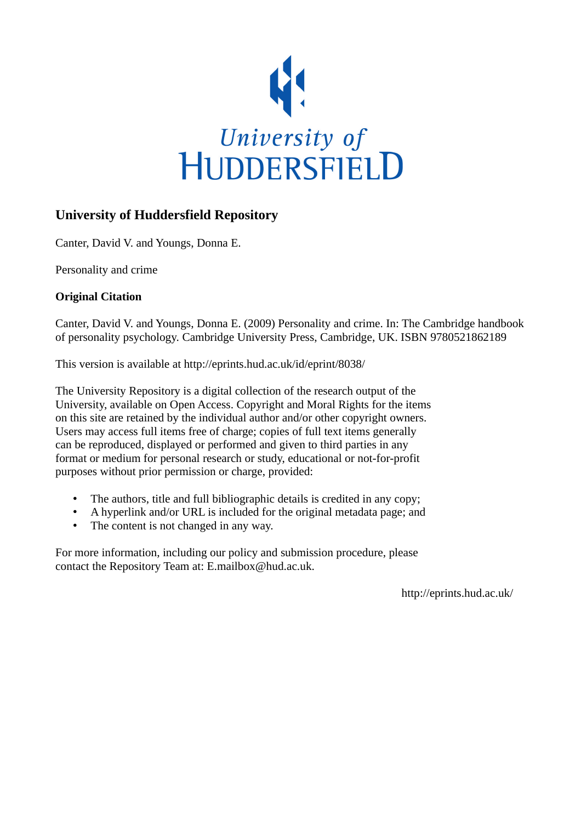

# **University of Huddersfield Repository**

Canter, David V. and Youngs, Donna E.

Personality and crime

## **Original Citation**

Canter, David V. and Youngs, Donna E. (2009) Personality and crime. In: The Cambridge handbook of personality psychology. Cambridge University Press, Cambridge, UK. ISBN 9780521862189

This version is available at http://eprints.hud.ac.uk/id/eprint/8038/

The University Repository is a digital collection of the research output of the University, available on Open Access. Copyright and Moral Rights for the items on this site are retained by the individual author and/or other copyright owners. Users may access full items free of charge; copies of full text items generally can be reproduced, displayed or performed and given to third parties in any format or medium for personal research or study, educational or not-for-profit purposes without prior permission or charge, provided:

- The authors, title and full bibliographic details is credited in any copy;
- A hyperlink and/or URL is included for the original metadata page; and
- The content is not changed in any way.

For more information, including our policy and submission procedure, please contact the Repository Team at: E.mailbox@hud.ac.uk.

http://eprints.hud.ac.uk/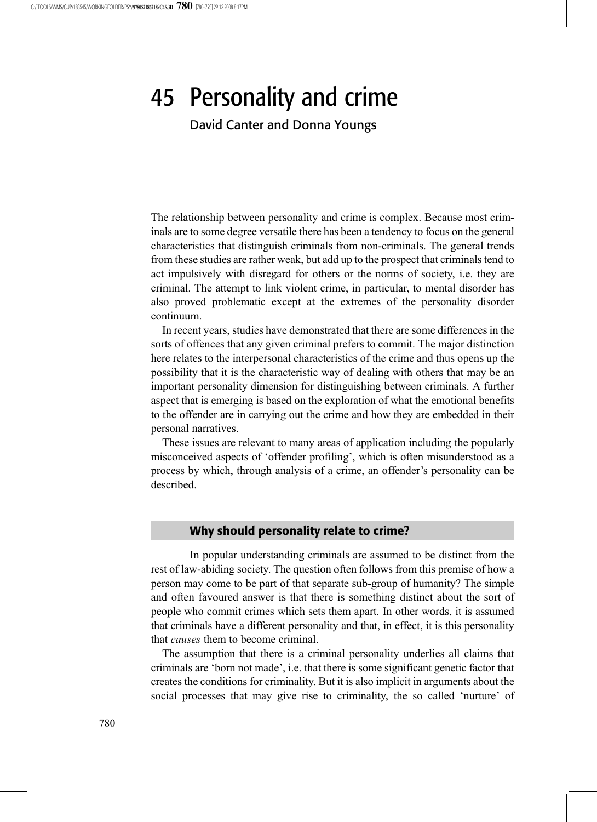# 45 Personality and crime

David Canter and Donna Youngs

The relationship between personality and crime is complex. Because most criminals are to some degree versatile there has been a tendency to focus on the general characteristics that distinguish criminals from non-criminals. The general trends from these studies are rather weak, but add up to the prospect that criminals tend to act impulsively with disregard for others or the norms of society, i.e. they are criminal. The attempt to link violent crime, in particular, to mental disorder has also proved problematic except at the extremes of the personality disorder continuum.

In recent years, studies have demonstrated that there are some differences in the sorts of offences that any given criminal prefers to commit. The major distinction here relates to the interpersonal characteristics of the crime and thus opens up the possibility that it is the characteristic way of dealing with others that may be an important personality dimension for distinguishing between criminals. A further aspect that is emerging is based on the exploration of what the emotional benefits to the offender are in carrying out the crime and how they are embedded in their personal narratives.

These issues are relevant to many areas of application including the popularly misconceived aspects of 'offender profiling', which is often misunderstood as a process by which, through analysis of a crime, an offender's personality can be described.

## Why should personality relate to crime?

In popular understanding criminals are assumed to be distinct from the rest of law-abiding society. The question often follows from this premise of how a person may come to be part of that separate sub-group of humanity? The simple and often favoured answer is that there is something distinct about the sort of people who commit crimes which sets them apart. In other words, it is assumed that criminals have a different personality and that, in effect, it is this personality that *causes* them to become criminal.

The assumption that there is a criminal personality underlies all claims that criminals are 'born not made', i.e. that there is some significant genetic factor that creates the conditions for criminality. But it is also implicit in arguments about the social processes that may give rise to criminality, the so called 'nurture' of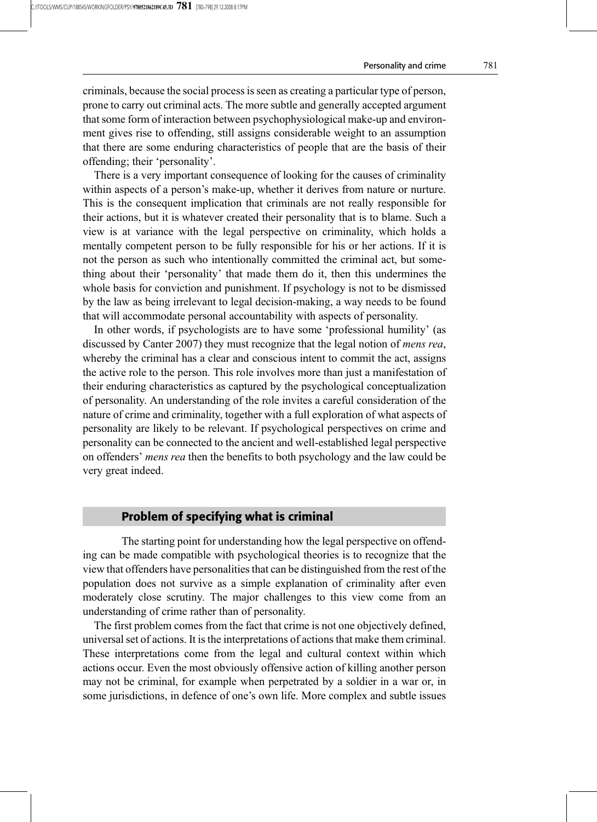criminals, because the social process is seen as creating a particular type of person, prone to carry out criminal acts. The more subtle and generally accepted argument that some form of interaction between psychophysiological make-up and environment gives rise to offending, still assigns considerable weight to an assumption that there are some enduring characteristics of people that are the basis of their offending; their 'personality'.

There is a very important consequence of looking for the causes of criminality within aspects of a person's make-up, whether it derives from nature or nurture. This is the consequent implication that criminals are not really responsible for their actions, but it is whatever created their personality that is to blame. Such a view is at variance with the legal perspective on criminality, which holds a mentally competent person to be fully responsible for his or her actions. If it is not the person as such who intentionally committed the criminal act, but something about their 'personality' that made them do it, then this undermines the whole basis for conviction and punishment. If psychology is not to be dismissed by the law as being irrelevant to legal decision-making, a way needs to be found that will accommodate personal accountability with aspects of personality.

In other words, if psychologists are to have some 'professional humility' (as discussed by Canter 2007) they must recognize that the legal notion of mens rea, whereby the criminal has a clear and conscious intent to commit the act, assigns the active role to the person. This role involves more than just a manifestation of their enduring characteristics as captured by the psychological conceptualization of personality. An understanding of the role invites a careful consideration of the nature of crime and criminality, together with a full exploration of what aspects of personality are likely to be relevant. If psychological perspectives on crime and personality can be connected to the ancient and well-established legal perspective on offenders' mens rea then the benefits to both psychology and the law could be very great indeed.

## Problem of specifying what is criminal

The starting point for understanding how the legal perspective on offending can be made compatible with psychological theories is to recognize that the view that offenders have personalities that can be distinguished from the rest of the population does not survive as a simple explanation of criminality after even moderately close scrutiny. The major challenges to this view come from an understanding of crime rather than of personality.

The first problem comes from the fact that crime is not one objectively defined, universal set of actions. It is the interpretations of actions that make them criminal. These interpretations come from the legal and cultural context within which actions occur. Even the most obviously offensive action of killing another person may not be criminal, for example when perpetrated by a soldier in a war or, in some jurisdictions, in defence of one's own life. More complex and subtle issues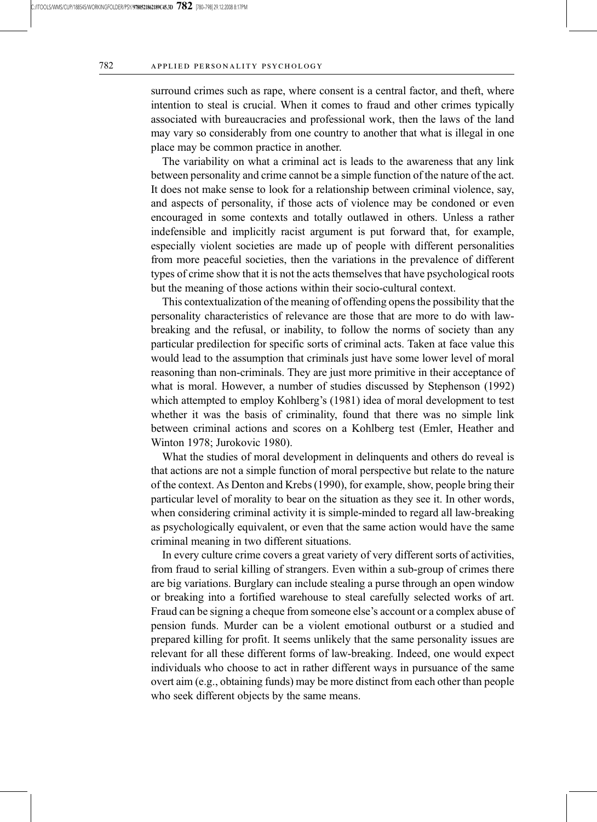surround crimes such as rape, where consent is a central factor, and theft, where intention to steal is crucial. When it comes to fraud and other crimes typically associated with bureaucracies and professional work, then the laws of the land may vary so considerably from one country to another that what is illegal in one place may be common practice in another.

The variability on what a criminal act is leads to the awareness that any link between personality and crime cannot be a simple function of the nature of the act. It does not make sense to look for a relationship between criminal violence, say, and aspects of personality, if those acts of violence may be condoned or even encouraged in some contexts and totally outlawed in others. Unless a rather indefensible and implicitly racist argument is put forward that, for example, especially violent societies are made up of people with different personalities from more peaceful societies, then the variations in the prevalence of different types of crime show that it is not the acts themselves that have psychological roots but the meaning of those actions within their socio-cultural context.

This contextualization of the meaning of offending opens the possibility that the personality characteristics of relevance are those that are more to do with lawbreaking and the refusal, or inability, to follow the norms of society than any particular predilection for specific sorts of criminal acts. Taken at face value this would lead to the assumption that criminals just have some lower level of moral reasoning than non-criminals. They are just more primitive in their acceptance of what is moral. However, a number of studies discussed by Stephenson (1992) which attempted to employ Kohlberg's (1981) idea of moral development to test whether it was the basis of criminality, found that there was no simple link between criminal actions and scores on a Kohlberg test (Emler, Heather and Winton 1978; Jurokovic 1980).

What the studies of moral development in delinquents and others do reveal is that actions are not a simple function of moral perspective but relate to the nature of the context. As Denton and Krebs (1990), for example, show, people bring their particular level of morality to bear on the situation as they see it. In other words, when considering criminal activity it is simple-minded to regard all law-breaking as psychologically equivalent, or even that the same action would have the same criminal meaning in two different situations.

In every culture crime covers a great variety of very different sorts of activities, from fraud to serial killing of strangers. Even within a sub-group of crimes there are big variations. Burglary can include stealing a purse through an open window or breaking into a fortified warehouse to steal carefully selected works of art. Fraud can be signing a cheque from someone else's account or a complex abuse of pension funds. Murder can be a violent emotional outburst or a studied and prepared killing for profit. It seems unlikely that the same personality issues are relevant for all these different forms of law-breaking. Indeed, one would expect individuals who choose to act in rather different ways in pursuance of the same overt aim (e.g., obtaining funds) may be more distinct from each other than people who seek different objects by the same means.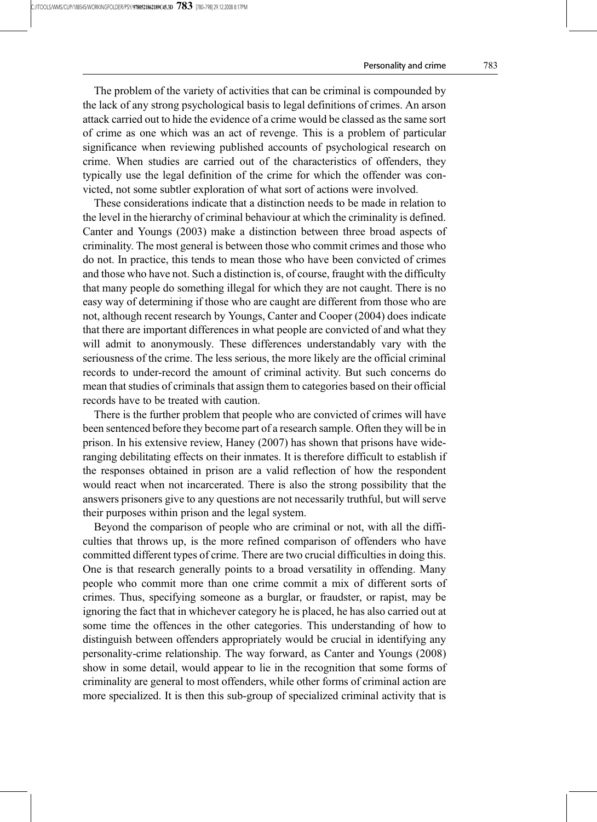The problem of the variety of activities that can be criminal is compounded by the lack of any strong psychological basis to legal definitions of crimes. An arson attack carried out to hide the evidence of a crime would be classed as the same sort of crime as one which was an act of revenge. This is a problem of particular significance when reviewing published accounts of psychological research on crime. When studies are carried out of the characteristics of offenders, they typically use the legal definition of the crime for which the offender was convicted, not some subtler exploration of what sort of actions were involved.

These considerations indicate that a distinction needs to be made in relation to the level in the hierarchy of criminal behaviour at which the criminality is defined. Canter and Youngs (2003) make a distinction between three broad aspects of criminality. The most general is between those who commit crimes and those who do not. In practice, this tends to mean those who have been convicted of crimes and those who have not. Such a distinction is, of course, fraught with the difficulty that many people do something illegal for which they are not caught. There is no easy way of determining if those who are caught are different from those who are not, although recent research by Youngs, Canter and Cooper (2004) does indicate that there are important differences in what people are convicted of and what they will admit to anonymously. These differences understandably vary with the seriousness of the crime. The less serious, the more likely are the official criminal records to under-record the amount of criminal activity. But such concerns do mean that studies of criminals that assign them to categories based on their official records have to be treated with caution.

There is the further problem that people who are convicted of crimes will have been sentenced before they become part of a research sample. Often they will be in prison. In his extensive review, Haney (2007) has shown that prisons have wideranging debilitating effects on their inmates. It is therefore difficult to establish if the responses obtained in prison are a valid reflection of how the respondent would react when not incarcerated. There is also the strong possibility that the answers prisoners give to any questions are not necessarily truthful, but will serve their purposes within prison and the legal system.

Beyond the comparison of people who are criminal or not, with all the difficulties that throws up, is the more refined comparison of offenders who have committed different types of crime. There are two crucial difficulties in doing this. One is that research generally points to a broad versatility in offending. Many people who commit more than one crime commit a mix of different sorts of crimes. Thus, specifying someone as a burglar, or fraudster, or rapist, may be ignoring the fact that in whichever category he is placed, he has also carried out at some time the offences in the other categories. This understanding of how to distinguish between offenders appropriately would be crucial in identifying any personality-crime relationship. The way forward, as Canter and Youngs (2008) show in some detail, would appear to lie in the recognition that some forms of criminality are general to most offenders, while other forms of criminal action are more specialized. It is then this sub-group of specialized criminal activity that is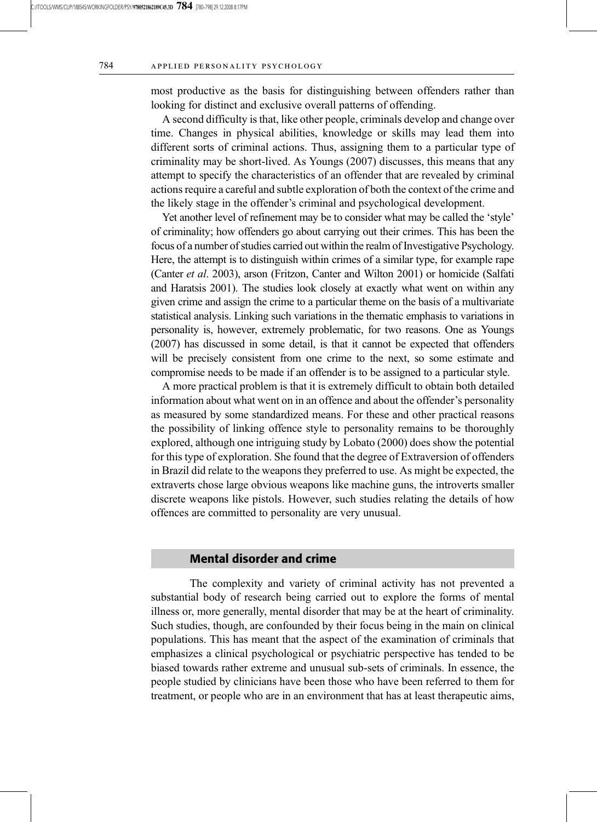most productive as the basis for distinguishing between offenders rather than looking for distinct and exclusive overall patterns of offending.

A second difficulty is that, like other people, criminals develop and change over time. Changes in physical abilities, knowledge or skills may lead them into different sorts of criminal actions. Thus, assigning them to a particular type of criminality may be short-lived. As Youngs (2007) discusses, this means that any attempt to specify the characteristics of an offender that are revealed by criminal actions require a careful and subtle exploration of both the context of the crime and the likely stage in the offender's criminal and psychological development.

Yet another level of refinement may be to consider what may be called the 'style' of criminality; how offenders go about carrying out their crimes. This has been the focus of a number of studies carried out within the realm of Investigative Psychology. Here, the attempt is to distinguish within crimes of a similar type, for example rape (Canter et al. 2003), arson (Fritzon, Canter and Wilton 2001) or homicide (Salfati and Haratsis 2001). The studies look closely at exactly what went on within any given crime and assign the crime to a particular theme on the basis of a multivariate statistical analysis. Linking such variations in the thematic emphasis to variations in personality is, however, extremely problematic, for two reasons. One as Youngs (2007) has discussed in some detail, is that it cannot be expected that offenders will be precisely consistent from one crime to the next, so some estimate and compromise needs to be made if an offender is to be assigned to a particular style.

A more practical problem is that it is extremely difficult to obtain both detailed information about what went on in an offence and about the offender's personality as measured by some standardized means. For these and other practical reasons the possibility of linking offence style to personality remains to be thoroughly explored, although one intriguing study by Lobato (2000) does show the potential for this type of exploration. She found that the degree of Extraversion of offenders in Brazil did relate to the weapons they preferred to use. As might be expected, the extraverts chose large obvious weapons like machine guns, the introverts smaller discrete weapons like pistols. However, such studies relating the details of how offences are committed to personality are very unusual.

## Mental disorder and crime

The complexity and variety of criminal activity has not prevented a substantial body of research being carried out to explore the forms of mental illness or, more generally, mental disorder that may be at the heart of criminality. Such studies, though, are confounded by their focus being in the main on clinical populations. This has meant that the aspect of the examination of criminals that emphasizes a clinical psychological or psychiatric perspective has tended to be biased towards rather extreme and unusual sub-sets of criminals. In essence, the people studied by clinicians have been those who have been referred to them for treatment, or people who are in an environment that has at least therapeutic aims,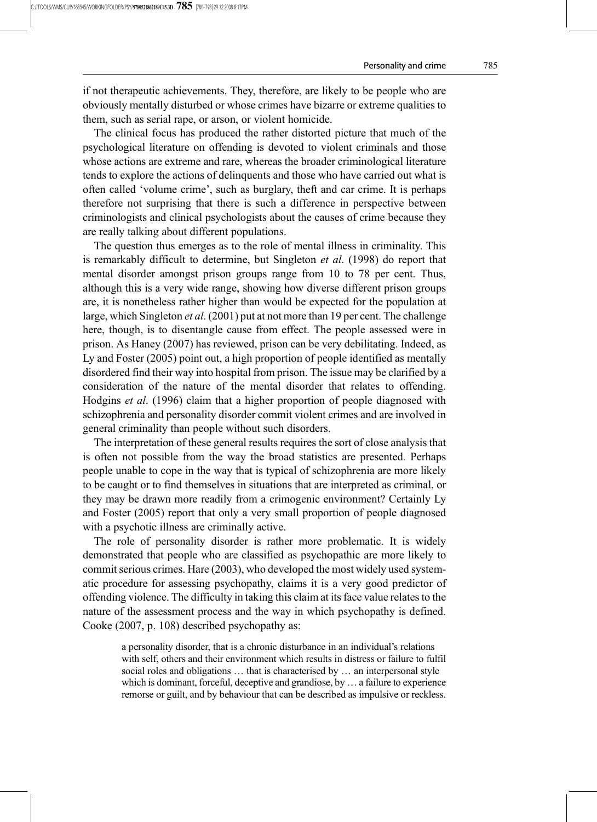if not therapeutic achievements. They, therefore, are likely to be people who are obviously mentally disturbed or whose crimes have bizarre or extreme qualities to them, such as serial rape, or arson, or violent homicide.

The clinical focus has produced the rather distorted picture that much of the psychological literature on offending is devoted to violent criminals and those whose actions are extreme and rare, whereas the broader criminological literature tends to explore the actions of delinquents and those who have carried out what is often called 'volume crime', such as burglary, theft and car crime. It is perhaps therefore not surprising that there is such a difference in perspective between criminologists and clinical psychologists about the causes of crime because they are really talking about different populations.

The question thus emerges as to the role of mental illness in criminality. This is remarkably difficult to determine, but Singleton et al. (1998) do report that mental disorder amongst prison groups range from 10 to 78 per cent. Thus, although this is a very wide range, showing how diverse different prison groups are, it is nonetheless rather higher than would be expected for the population at large, which Singleton et al. (2001) put at not more than 19 per cent. The challenge here, though, is to disentangle cause from effect. The people assessed were in prison. As Haney (2007) has reviewed, prison can be very debilitating. Indeed, as Ly and Foster (2005) point out, a high proportion of people identified as mentally disordered find their way into hospital from prison. The issue may be clarified by a consideration of the nature of the mental disorder that relates to offending. Hodgins et al. (1996) claim that a higher proportion of people diagnosed with schizophrenia and personality disorder commit violent crimes and are involved in general criminality than people without such disorders.

The interpretation of these general results requires the sort of close analysis that is often not possible from the way the broad statistics are presented. Perhaps people unable to cope in the way that is typical of schizophrenia are more likely to be caught or to find themselves in situations that are interpreted as criminal, or they may be drawn more readily from a crimogenic environment? Certainly Ly and Foster (2005) report that only a very small proportion of people diagnosed with a psychotic illness are criminally active.

The role of personality disorder is rather more problematic. It is widely demonstrated that people who are classified as psychopathic are more likely to commit serious crimes. Hare (2003), who developed the most widely used systematic procedure for assessing psychopathy, claims it is a very good predictor of offending violence. The difficulty in taking this claim at its face value relates to the nature of the assessment process and the way in which psychopathy is defined. Cooke (2007, p. 108) described psychopathy as:

> a personality disorder, that is a chronic disturbance in an individual's relations with self, others and their environment which results in distress or failure to fulfil social roles and obligations … that is characterised by … an interpersonal style which is dominant, forceful, deceptive and grandiose, by ... a failure to experience remorse or guilt, and by behaviour that can be described as impulsive or reckless.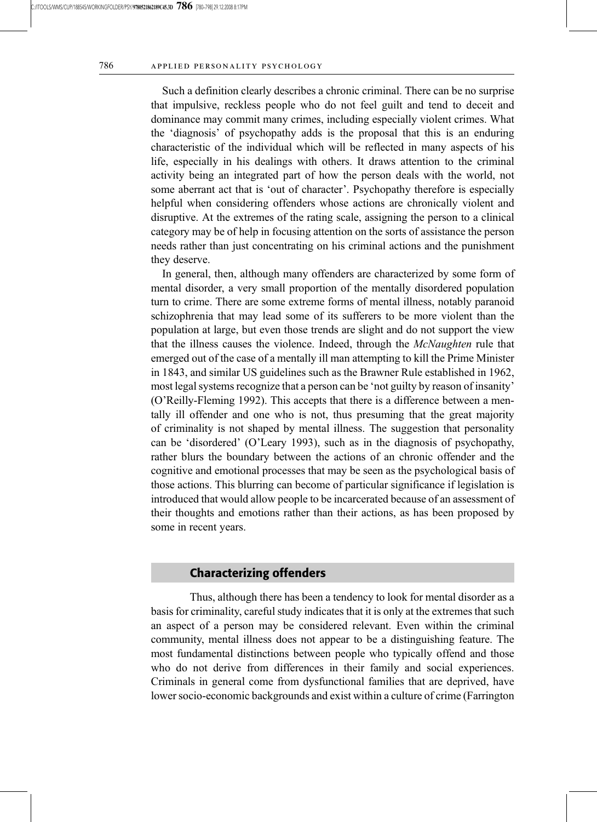Such a definition clearly describes a chronic criminal. There can be no surprise that impulsive, reckless people who do not feel guilt and tend to deceit and dominance may commit many crimes, including especially violent crimes. What the 'diagnosis' of psychopathy adds is the proposal that this is an enduring characteristic of the individual which will be reflected in many aspects of his life, especially in his dealings with others. It draws attention to the criminal activity being an integrated part of how the person deals with the world, not some aberrant act that is 'out of character'. Psychopathy therefore is especially helpful when considering offenders whose actions are chronically violent and disruptive. At the extremes of the rating scale, assigning the person to a clinical category may be of help in focusing attention on the sorts of assistance the person needs rather than just concentrating on his criminal actions and the punishment they deserve.

In general, then, although many offenders are characterized by some form of mental disorder, a very small proportion of the mentally disordered population turn to crime. There are some extreme forms of mental illness, notably paranoid schizophrenia that may lead some of its sufferers to be more violent than the population at large, but even those trends are slight and do not support the view that the illness causes the violence. Indeed, through the McNaughten rule that emerged out of the case of a mentally ill man attempting to kill the Prime Minister in 1843, and similar US guidelines such as the Brawner Rule established in 1962, most legal systems recognize that a person can be 'not guilty by reason of insanity' (O'Reilly-Fleming 1992). This accepts that there is a difference between a mentally ill offender and one who is not, thus presuming that the great majority of criminality is not shaped by mental illness. The suggestion that personality can be 'disordered' (O'Leary 1993), such as in the diagnosis of psychopathy, rather blurs the boundary between the actions of an chronic offender and the cognitive and emotional processes that may be seen as the psychological basis of those actions. This blurring can become of particular significance if legislation is introduced that would allow people to be incarcerated because of an assessment of their thoughts and emotions rather than their actions, as has been proposed by some in recent years.

## Characterizing offenders

Thus, although there has been a tendency to look for mental disorder as a basis for criminality, careful study indicates that it is only at the extremes that such an aspect of a person may be considered relevant. Even within the criminal community, mental illness does not appear to be a distinguishing feature. The most fundamental distinctions between people who typically offend and those who do not derive from differences in their family and social experiences. Criminals in general come from dysfunctional families that are deprived, have lower socio-economic backgrounds and exist within a culture of crime (Farrington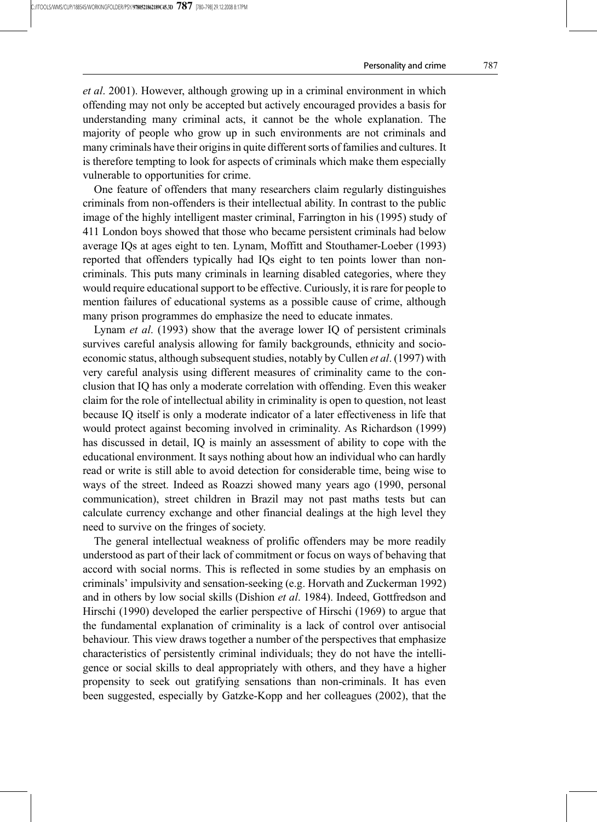et al. 2001). However, although growing up in a criminal environment in which offending may not only be accepted but actively encouraged provides a basis for understanding many criminal acts, it cannot be the whole explanation. The majority of people who grow up in such environments are not criminals and many criminals have their origins in quite different sorts of families and cultures. It is therefore tempting to look for aspects of criminals which make them especially vulnerable to opportunities for crime.

One feature of offenders that many researchers claim regularly distinguishes criminals from non-offenders is their intellectual ability. In contrast to the public image of the highly intelligent master criminal, Farrington in his (1995) study of 411 London boys showed that those who became persistent criminals had below average IQs at ages eight to ten. Lynam, Moffitt and Stouthamer-Loeber (1993) reported that offenders typically had IQs eight to ten points lower than noncriminals. This puts many criminals in learning disabled categories, where they would require educational support to be effective. Curiously, it is rare for people to mention failures of educational systems as a possible cause of crime, although many prison programmes do emphasize the need to educate inmates.

Lynam et al. (1993) show that the average lower IQ of persistent criminals survives careful analysis allowing for family backgrounds, ethnicity and socioeconomic status, although subsequent studies, notably by Cullen et al. (1997) with very careful analysis using different measures of criminality came to the conclusion that IQ has only a moderate correlation with offending. Even this weaker claim for the role of intellectual ability in criminality is open to question, not least because IQ itself is only a moderate indicator of a later effectiveness in life that would protect against becoming involved in criminality. As Richardson (1999) has discussed in detail, IQ is mainly an assessment of ability to cope with the educational environment. It says nothing about how an individual who can hardly read or write is still able to avoid detection for considerable time, being wise to ways of the street. Indeed as Roazzi showed many years ago (1990, personal communication), street children in Brazil may not past maths tests but can calculate currency exchange and other financial dealings at the high level they need to survive on the fringes of society.

The general intellectual weakness of prolific offenders may be more readily understood as part of their lack of commitment or focus on ways of behaving that accord with social norms. This is reflected in some studies by an emphasis on criminals' impulsivity and sensation-seeking (e.g. Horvath and Zuckerman 1992) and in others by low social skills (Dishion et al. 1984). Indeed, Gottfredson and Hirschi (1990) developed the earlier perspective of Hirschi (1969) to argue that the fundamental explanation of criminality is a lack of control over antisocial behaviour. This view draws together a number of the perspectives that emphasize characteristics of persistently criminal individuals; they do not have the intelligence or social skills to deal appropriately with others, and they have a higher propensity to seek out gratifying sensations than non-criminals. It has even been suggested, especially by Gatzke-Kopp and her colleagues (2002), that the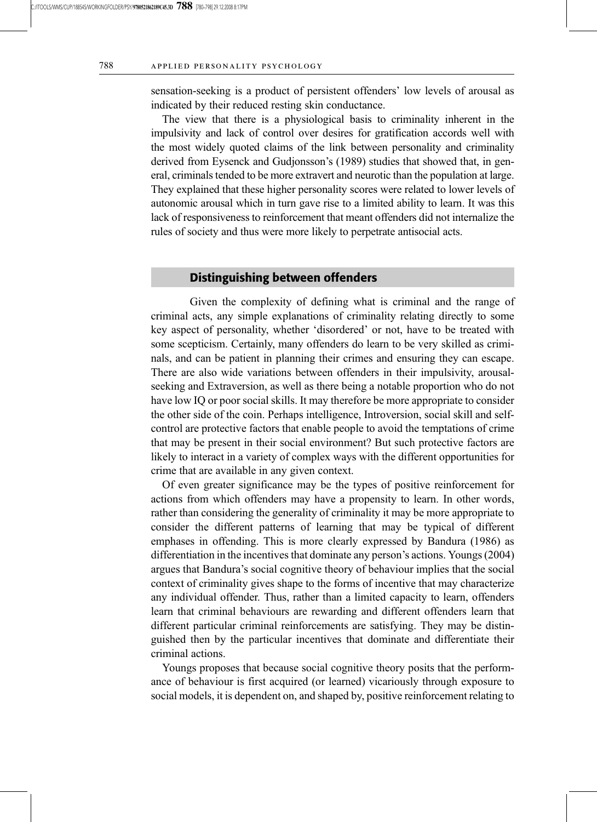sensation-seeking is a product of persistent offenders' low levels of arousal as indicated by their reduced resting skin conductance.

The view that there is a physiological basis to criminality inherent in the impulsivity and lack of control over desires for gratification accords well with the most widely quoted claims of the link between personality and criminality derived from Eysenck and Gudjonsson's (1989) studies that showed that, in general, criminals tended to be more extravert and neurotic than the population at large. They explained that these higher personality scores were related to lower levels of autonomic arousal which in turn gave rise to a limited ability to learn. It was this lack of responsiveness to reinforcement that meant offenders did not internalize the rules of society and thus were more likely to perpetrate antisocial acts.

## Distinguishing between offenders

Given the complexity of defining what is criminal and the range of criminal acts, any simple explanations of criminality relating directly to some key aspect of personality, whether 'disordered' or not, have to be treated with some scepticism. Certainly, many offenders do learn to be very skilled as criminals, and can be patient in planning their crimes and ensuring they can escape. There are also wide variations between offenders in their impulsivity, arousalseeking and Extraversion, as well as there being a notable proportion who do not have low IQ or poor social skills. It may therefore be more appropriate to consider the other side of the coin. Perhaps intelligence, Introversion, social skill and selfcontrol are protective factors that enable people to avoid the temptations of crime that may be present in their social environment? But such protective factors are likely to interact in a variety of complex ways with the different opportunities for crime that are available in any given context.

Of even greater significance may be the types of positive reinforcement for actions from which offenders may have a propensity to learn. In other words, rather than considering the generality of criminality it may be more appropriate to consider the different patterns of learning that may be typical of different emphases in offending. This is more clearly expressed by Bandura (1986) as differentiation in the incentives that dominate any person's actions. Youngs (2004) argues that Bandura's social cognitive theory of behaviour implies that the social context of criminality gives shape to the forms of incentive that may characterize any individual offender. Thus, rather than a limited capacity to learn, offenders learn that criminal behaviours are rewarding and different offenders learn that different particular criminal reinforcements are satisfying. They may be distinguished then by the particular incentives that dominate and differentiate their criminal actions.

Youngs proposes that because social cognitive theory posits that the performance of behaviour is first acquired (or learned) vicariously through exposure to social models, it is dependent on, and shaped by, positive reinforcement relating to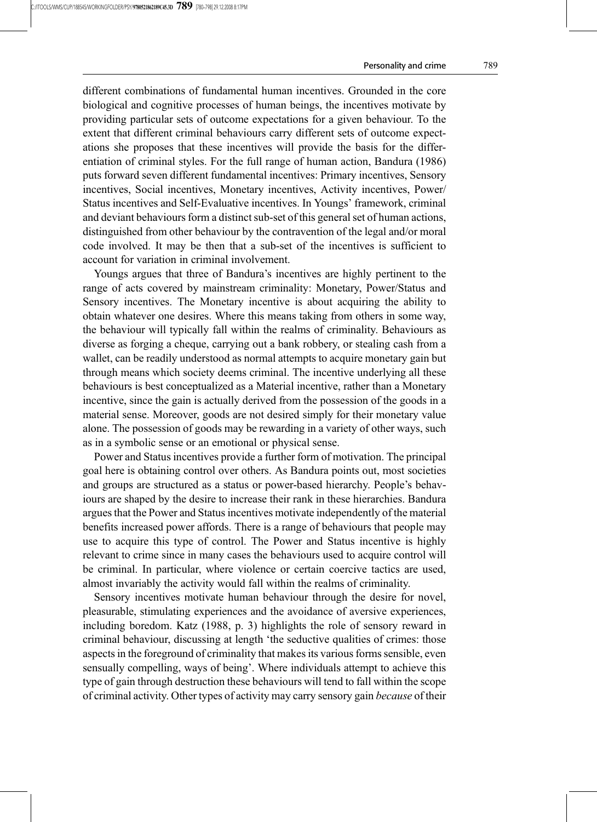different combinations of fundamental human incentives. Grounded in the core biological and cognitive processes of human beings, the incentives motivate by providing particular sets of outcome expectations for a given behaviour. To the extent that different criminal behaviours carry different sets of outcome expectations she proposes that these incentives will provide the basis for the differentiation of criminal styles. For the full range of human action, Bandura (1986) puts forward seven different fundamental incentives: Primary incentives, Sensory incentives, Social incentives, Monetary incentives, Activity incentives, Power/ Status incentives and Self-Evaluative incentives. In Youngs' framework, criminal and deviant behaviours form a distinct sub-set of this general set of human actions, distinguished from other behaviour by the contravention of the legal and/or moral code involved. It may be then that a sub-set of the incentives is sufficient to account for variation in criminal involvement.

Youngs argues that three of Bandura's incentives are highly pertinent to the range of acts covered by mainstream criminality: Monetary, Power/Status and Sensory incentives. The Monetary incentive is about acquiring the ability to obtain whatever one desires. Where this means taking from others in some way, the behaviour will typically fall within the realms of criminality. Behaviours as diverse as forging a cheque, carrying out a bank robbery, or stealing cash from a wallet, can be readily understood as normal attempts to acquire monetary gain but through means which society deems criminal. The incentive underlying all these behaviours is best conceptualized as a Material incentive, rather than a Monetary incentive, since the gain is actually derived from the possession of the goods in a material sense. Moreover, goods are not desired simply for their monetary value alone. The possession of goods may be rewarding in a variety of other ways, such as in a symbolic sense or an emotional or physical sense.

Power and Status incentives provide a further form of motivation. The principal goal here is obtaining control over others. As Bandura points out, most societies and groups are structured as a status or power-based hierarchy. People's behaviours are shaped by the desire to increase their rank in these hierarchies. Bandura argues that the Power and Status incentives motivate independently of the material benefits increased power affords. There is a range of behaviours that people may use to acquire this type of control. The Power and Status incentive is highly relevant to crime since in many cases the behaviours used to acquire control will be criminal. In particular, where violence or certain coercive tactics are used, almost invariably the activity would fall within the realms of criminality.

Sensory incentives motivate human behaviour through the desire for novel, pleasurable, stimulating experiences and the avoidance of aversive experiences, including boredom. Katz (1988, p. 3) highlights the role of sensory reward in criminal behaviour, discussing at length 'the seductive qualities of crimes: those aspects in the foreground of criminality that makes its various forms sensible, even sensually compelling, ways of being'. Where individuals attempt to achieve this type of gain through destruction these behaviours will tend to fall within the scope of criminal activity. Other types of activity may carry sensory gain because of their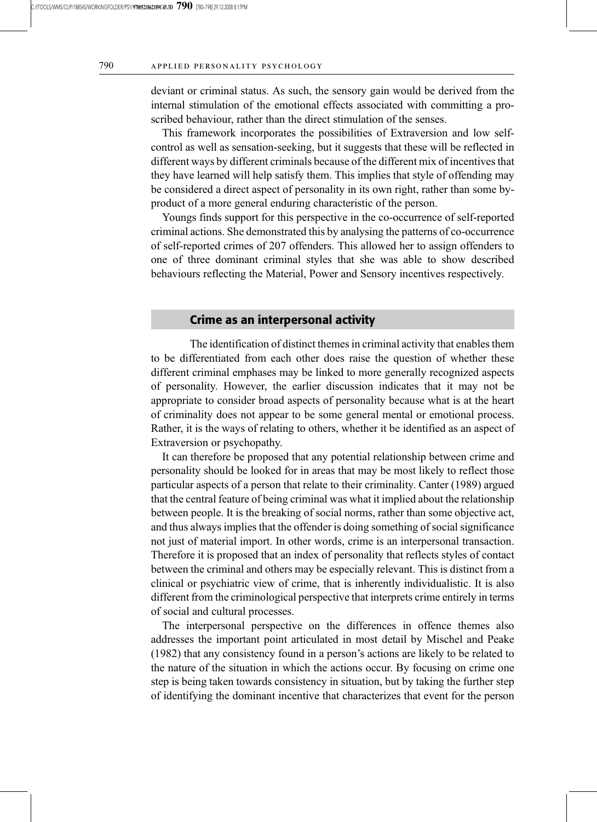deviant or criminal status. As such, the sensory gain would be derived from the internal stimulation of the emotional effects associated with committing a proscribed behaviour, rather than the direct stimulation of the senses.

This framework incorporates the possibilities of Extraversion and low selfcontrol as well as sensation-seeking, but it suggests that these will be reflected in different ways by different criminals because of the different mix of incentives that they have learned will help satisfy them. This implies that style of offending may be considered a direct aspect of personality in its own right, rather than some byproduct of a more general enduring characteristic of the person.

Youngs finds support for this perspective in the co-occurrence of self-reported criminal actions. She demonstrated this by analysing the patterns of co-occurrence of self-reported crimes of 207 offenders. This allowed her to assign offenders to one of three dominant criminal styles that she was able to show described behaviours reflecting the Material, Power and Sensory incentives respectively.

### Crime as an interpersonal activity

The identification of distinct themes in criminal activity that enables them to be differentiated from each other does raise the question of whether these different criminal emphases may be linked to more generally recognized aspects of personality. However, the earlier discussion indicates that it may not be appropriate to consider broad aspects of personality because what is at the heart of criminality does not appear to be some general mental or emotional process. Rather, it is the ways of relating to others, whether it be identified as an aspect of Extraversion or psychopathy.

It can therefore be proposed that any potential relationship between crime and personality should be looked for in areas that may be most likely to reflect those particular aspects of a person that relate to their criminality. Canter (1989) argued that the central feature of being criminal was what it implied about the relationship between people. It is the breaking of social norms, rather than some objective act, and thus always implies that the offender is doing something of social significance not just of material import. In other words, crime is an interpersonal transaction. Therefore it is proposed that an index of personality that reflects styles of contact between the criminal and others may be especially relevant. This is distinct from a clinical or psychiatric view of crime, that is inherently individualistic. It is also different from the criminological perspective that interprets crime entirely in terms of social and cultural processes.

The interpersonal perspective on the differences in offence themes also addresses the important point articulated in most detail by Mischel and Peake (1982) that any consistency found in a person's actions are likely to be related to the nature of the situation in which the actions occur. By focusing on crime one step is being taken towards consistency in situation, but by taking the further step of identifying the dominant incentive that characterizes that event for the person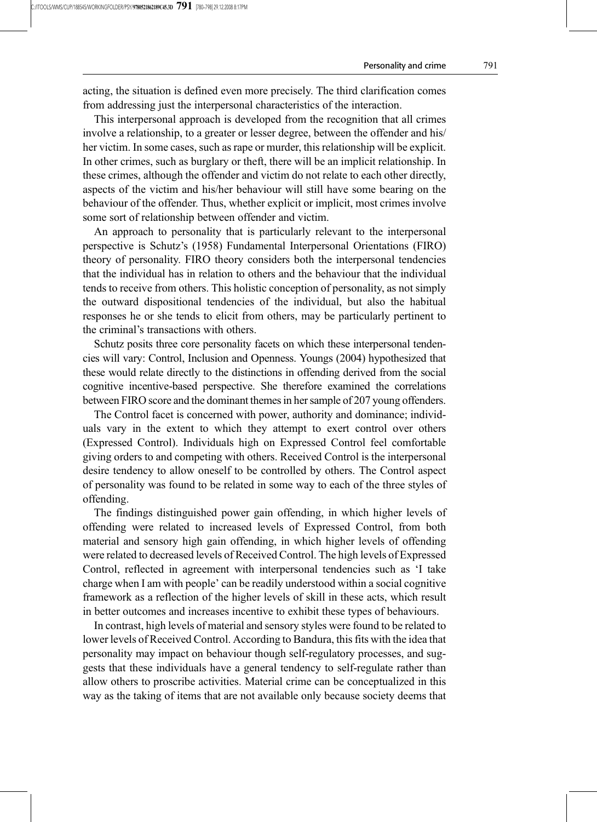acting, the situation is defined even more precisely. The third clarification comes from addressing just the interpersonal characteristics of the interaction.

This interpersonal approach is developed from the recognition that all crimes involve a relationship, to a greater or lesser degree, between the offender and his/ her victim. In some cases, such as rape or murder, this relationship will be explicit. In other crimes, such as burglary or theft, there will be an implicit relationship. In these crimes, although the offender and victim do not relate to each other directly, aspects of the victim and his/her behaviour will still have some bearing on the behaviour of the offender. Thus, whether explicit or implicit, most crimes involve some sort of relationship between offender and victim.

An approach to personality that is particularly relevant to the interpersonal perspective is Schutz's (1958) Fundamental Interpersonal Orientations (FIRO) theory of personality. FIRO theory considers both the interpersonal tendencies that the individual has in relation to others and the behaviour that the individual tends to receive from others. This holistic conception of personality, as not simply the outward dispositional tendencies of the individual, but also the habitual responses he or she tends to elicit from others, may be particularly pertinent to the criminal's transactions with others.

Schutz posits three core personality facets on which these interpersonal tendencies will vary: Control, Inclusion and Openness. Youngs (2004) hypothesized that these would relate directly to the distinctions in offending derived from the social cognitive incentive-based perspective. She therefore examined the correlations between FIRO score and the dominant themes in her sample of 207 young offenders.

The Control facet is concerned with power, authority and dominance; individuals vary in the extent to which they attempt to exert control over others (Expressed Control). Individuals high on Expressed Control feel comfortable giving orders to and competing with others. Received Control is the interpersonal desire tendency to allow oneself to be controlled by others. The Control aspect of personality was found to be related in some way to each of the three styles of offending.

The findings distinguished power gain offending, in which higher levels of offending were related to increased levels of Expressed Control, from both material and sensory high gain offending, in which higher levels of offending were related to decreased levels of Received Control. The high levels of Expressed Control, reflected in agreement with interpersonal tendencies such as 'I take charge when I am with people' can be readily understood within a social cognitive framework as a reflection of the higher levels of skill in these acts, which result in better outcomes and increases incentive to exhibit these types of behaviours.

In contrast, high levels of material and sensory styles were found to be related to lower levels of Received Control. According to Bandura, this fits with the idea that personality may impact on behaviour though self-regulatory processes, and suggests that these individuals have a general tendency to self-regulate rather than allow others to proscribe activities. Material crime can be conceptualized in this way as the taking of items that are not available only because society deems that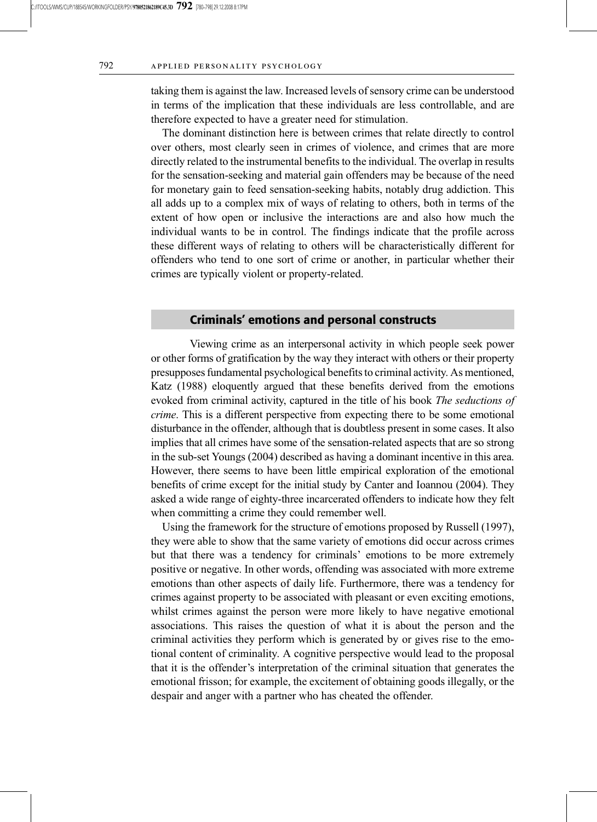taking them is against the law. Increased levels of sensory crime can be understood in terms of the implication that these individuals are less controllable, and are therefore expected to have a greater need for stimulation.

The dominant distinction here is between crimes that relate directly to control over others, most clearly seen in crimes of violence, and crimes that are more directly related to the instrumental benefits to the individual. The overlap in results for the sensation-seeking and material gain offenders may be because of the need for monetary gain to feed sensation-seeking habits, notably drug addiction. This all adds up to a complex mix of ways of relating to others, both in terms of the extent of how open or inclusive the interactions are and also how much the individual wants to be in control. The findings indicate that the profile across these different ways of relating to others will be characteristically different for offenders who tend to one sort of crime or another, in particular whether their crimes are typically violent or property-related.

## Criminals' emotions and personal constructs

Viewing crime as an interpersonal activity in which people seek power or other forms of gratification by the way they interact with others or their property presupposes fundamental psychological benefits to criminal activity. As mentioned, Katz (1988) eloquently argued that these benefits derived from the emotions evoked from criminal activity, captured in the title of his book *The seductions of* crime. This is a different perspective from expecting there to be some emotional disturbance in the offender, although that is doubtless present in some cases. It also implies that all crimes have some of the sensation-related aspects that are so strong in the sub-set Youngs (2004) described as having a dominant incentive in this area. However, there seems to have been little empirical exploration of the emotional benefits of crime except for the initial study by Canter and Ioannou (2004). They asked a wide range of eighty-three incarcerated offenders to indicate how they felt when committing a crime they could remember well.

Using the framework for the structure of emotions proposed by Russell (1997), they were able to show that the same variety of emotions did occur across crimes but that there was a tendency for criminals' emotions to be more extremely positive or negative. In other words, offending was associated with more extreme emotions than other aspects of daily life. Furthermore, there was a tendency for crimes against property to be associated with pleasant or even exciting emotions, whilst crimes against the person were more likely to have negative emotional associations. This raises the question of what it is about the person and the criminal activities they perform which is generated by or gives rise to the emotional content of criminality. A cognitive perspective would lead to the proposal that it is the offender's interpretation of the criminal situation that generates the emotional frisson; for example, the excitement of obtaining goods illegally, or the despair and anger with a partner who has cheated the offender.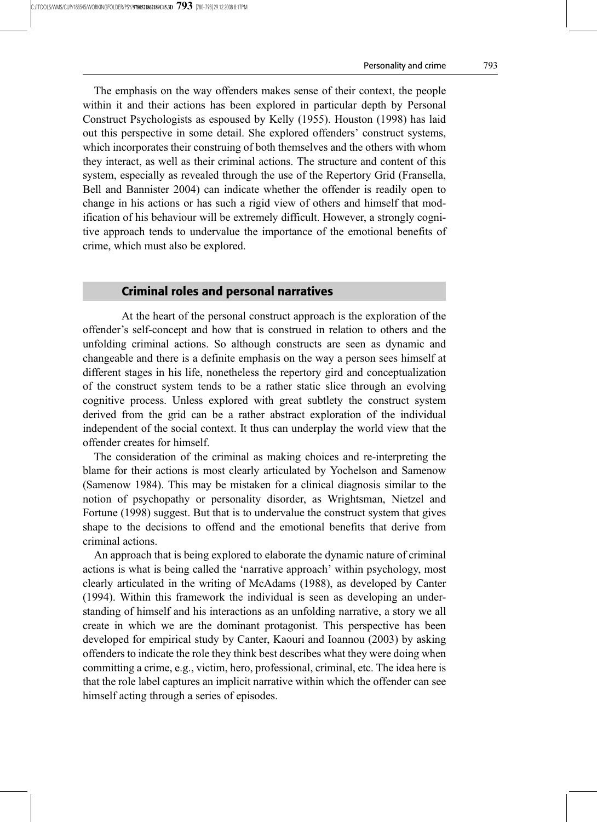The emphasis on the way offenders makes sense of their context, the people within it and their actions has been explored in particular depth by Personal Construct Psychologists as espoused by Kelly (1955). Houston (1998) has laid out this perspective in some detail. She explored offenders' construct systems, which incorporates their construing of both themselves and the others with whom they interact, as well as their criminal actions. The structure and content of this system, especially as revealed through the use of the Repertory Grid (Fransella, Bell and Bannister 2004) can indicate whether the offender is readily open to change in his actions or has such a rigid view of others and himself that modification of his behaviour will be extremely difficult. However, a strongly cognitive approach tends to undervalue the importance of the emotional benefits of crime, which must also be explored.

## Criminal roles and personal narratives

At the heart of the personal construct approach is the exploration of the offender's self-concept and how that is construed in relation to others and the unfolding criminal actions. So although constructs are seen as dynamic and changeable and there is a definite emphasis on the way a person sees himself at different stages in his life, nonetheless the repertory gird and conceptualization of the construct system tends to be a rather static slice through an evolving cognitive process. Unless explored with great subtlety the construct system derived from the grid can be a rather abstract exploration of the individual independent of the social context. It thus can underplay the world view that the offender creates for himself.

The consideration of the criminal as making choices and re-interpreting the blame for their actions is most clearly articulated by Yochelson and Samenow (Samenow 1984). This may be mistaken for a clinical diagnosis similar to the notion of psychopathy or personality disorder, as Wrightsman, Nietzel and Fortune (1998) suggest. But that is to undervalue the construct system that gives shape to the decisions to offend and the emotional benefits that derive from criminal actions.

An approach that is being explored to elaborate the dynamic nature of criminal actions is what is being called the 'narrative approach' within psychology, most clearly articulated in the writing of McAdams (1988), as developed by Canter (1994). Within this framework the individual is seen as developing an understanding of himself and his interactions as an unfolding narrative, a story we all create in which we are the dominant protagonist. This perspective has been developed for empirical study by Canter, Kaouri and Ioannou (2003) by asking offenders to indicate the role they think best describes what they were doing when committing a crime, e.g., victim, hero, professional, criminal, etc. The idea here is that the role label captures an implicit narrative within which the offender can see himself acting through a series of episodes.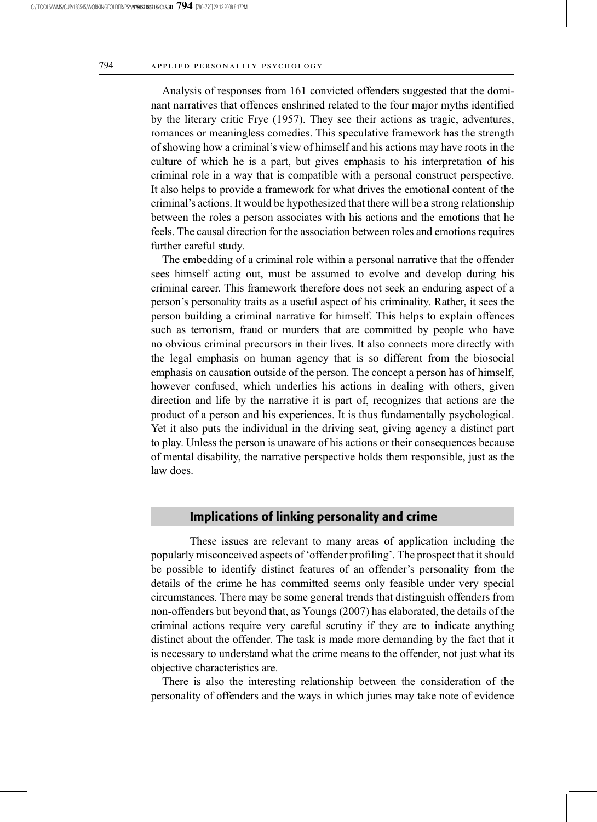Analysis of responses from 161 convicted offenders suggested that the dominant narratives that offences enshrined related to the four major myths identified by the literary critic Frye (1957). They see their actions as tragic, adventures, romances or meaningless comedies. This speculative framework has the strength of showing how a criminal's view of himself and his actions may have roots in the culture of which he is a part, but gives emphasis to his interpretation of his criminal role in a way that is compatible with a personal construct perspective. It also helps to provide a framework for what drives the emotional content of the criminal's actions. It would be hypothesized that there will be a strong relationship between the roles a person associates with his actions and the emotions that he feels. The causal direction for the association between roles and emotions requires further careful study.

The embedding of a criminal role within a personal narrative that the offender sees himself acting out, must be assumed to evolve and develop during his criminal career. This framework therefore does not seek an enduring aspect of a person's personality traits as a useful aspect of his criminality. Rather, it sees the person building a criminal narrative for himself. This helps to explain offences such as terrorism, fraud or murders that are committed by people who have no obvious criminal precursors in their lives. It also connects more directly with the legal emphasis on human agency that is so different from the biosocial emphasis on causation outside of the person. The concept a person has of himself, however confused, which underlies his actions in dealing with others, given direction and life by the narrative it is part of, recognizes that actions are the product of a person and his experiences. It is thus fundamentally psychological. Yet it also puts the individual in the driving seat, giving agency a distinct part to play. Unless the person is unaware of his actions or their consequences because of mental disability, the narrative perspective holds them responsible, just as the law does.

## Implications of linking personality and crime

These issues are relevant to many areas of application including the popularly misconceived aspects of 'offender profiling'. The prospect that it should be possible to identify distinct features of an offender's personality from the details of the crime he has committed seems only feasible under very special circumstances. There may be some general trends that distinguish offenders from non-offenders but beyond that, as Youngs (2007) has elaborated, the details of the criminal actions require very careful scrutiny if they are to indicate anything distinct about the offender. The task is made more demanding by the fact that it is necessary to understand what the crime means to the offender, not just what its objective characteristics are.

There is also the interesting relationship between the consideration of the personality of offenders and the ways in which juries may take note of evidence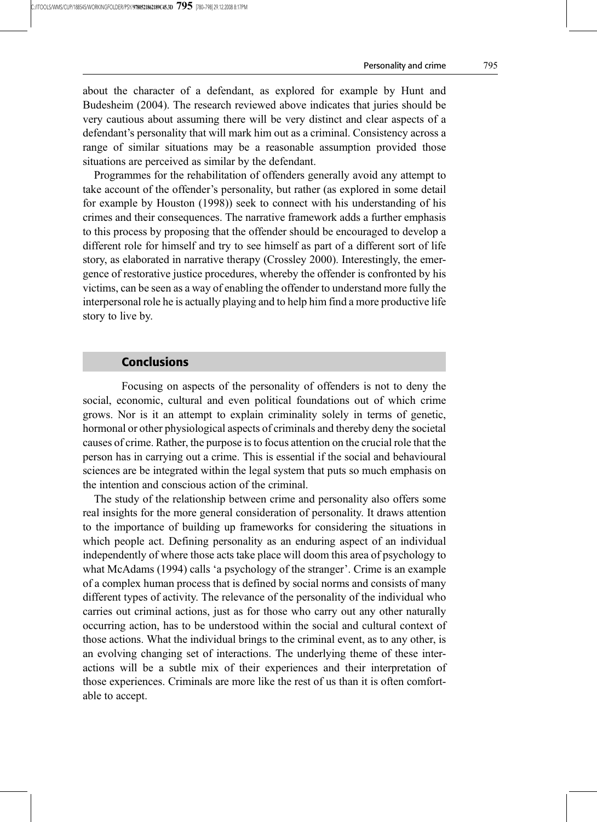about the character of a defendant, as explored for example by Hunt and Budesheim (2004). The research reviewed above indicates that juries should be very cautious about assuming there will be very distinct and clear aspects of a defendant's personality that will mark him out as a criminal. Consistency across a range of similar situations may be a reasonable assumption provided those situations are perceived as similar by the defendant.

Programmes for the rehabilitation of offenders generally avoid any attempt to take account of the offender's personality, but rather (as explored in some detail for example by Houston (1998)) seek to connect with his understanding of his crimes and their consequences. The narrative framework adds a further emphasis to this process by proposing that the offender should be encouraged to develop a different role for himself and try to see himself as part of a different sort of life story, as elaborated in narrative therapy (Crossley 2000). Interestingly, the emergence of restorative justice procedures, whereby the offender is confronted by his victims, can be seen as a way of enabling the offender to understand more fully the interpersonal role he is actually playing and to help him find a more productive life story to live by.

## Conclusions

Focusing on aspects of the personality of offenders is not to deny the social, economic, cultural and even political foundations out of which crime grows. Nor is it an attempt to explain criminality solely in terms of genetic, hormonal or other physiological aspects of criminals and thereby deny the societal causes of crime. Rather, the purpose is to focus attention on the crucial role that the person has in carrying out a crime. This is essential if the social and behavioural sciences are be integrated within the legal system that puts so much emphasis on the intention and conscious action of the criminal.

The study of the relationship between crime and personality also offers some real insights for the more general consideration of personality. It draws attention to the importance of building up frameworks for considering the situations in which people act. Defining personality as an enduring aspect of an individual independently of where those acts take place will doom this area of psychology to what McAdams (1994) calls 'a psychology of the stranger'. Crime is an example of a complex human process that is defined by social norms and consists of many different types of activity. The relevance of the personality of the individual who carries out criminal actions, just as for those who carry out any other naturally occurring action, has to be understood within the social and cultural context of those actions. What the individual brings to the criminal event, as to any other, is an evolving changing set of interactions. The underlying theme of these interactions will be a subtle mix of their experiences and their interpretation of those experiences. Criminals are more like the rest of us than it is often comfortable to accept.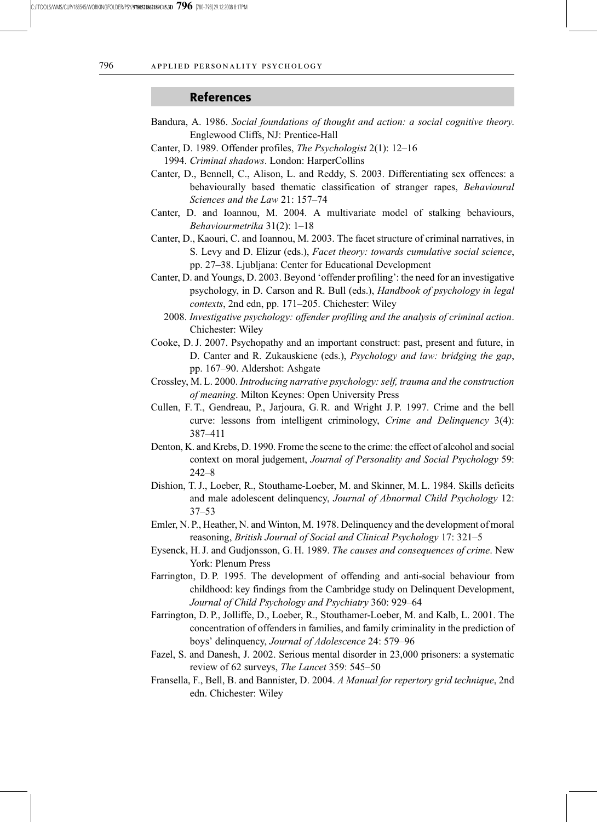## References

- Bandura, A. 1986. Social foundations of thought and action: a social cognitive theory. Englewood Cliffs, NJ: Prentice-Hall
- Canter, D. 1989. Offender profiles, The Psychologist 2(1): 12–16 1994. Criminal shadows. London: HarperCollins
- Canter, D., Bennell, C., Alison, L. and Reddy, S. 2003. Differentiating sex offences: a behaviourally based thematic classification of stranger rapes, Behavioural Sciences and the Law 21: 157–74
- Canter, D. and Ioannou, M. 2004. A multivariate model of stalking behaviours, Behaviourmetrika 31(2): 1–18
- Canter, D., Kaouri, C. and Ioannou, M. 2003. The facet structure of criminal narratives, in S. Levy and D. Elizur (eds.), Facet theory: towards cumulative social science, pp. 27–38. Ljubljana: Center for Educational Development
- Canter, D. and Youngs, D. 2003. Beyond 'offender profiling': the need for an investigative psychology, in D. Carson and R. Bull (eds.), Handbook of psychology in legal contexts, 2nd edn, pp. 171–205. Chichester: Wiley
	- 2008. Investigative psychology: offender profiling and the analysis of criminal action. Chichester: Wiley
- Cooke, D. J. 2007. Psychopathy and an important construct: past, present and future, in D. Canter and R. Zukauskiene (eds.), *Psychology and law: bridging the gap*, pp. 167–90. Aldershot: Ashgate
- Crossley, M. L. 2000. Introducing narrative psychology: self, trauma and the construction of meaning. Milton Keynes: Open University Press
- Cullen, F. T., Gendreau, P., Jarjoura, G. R. and Wright J. P. 1997. Crime and the bell curve: lessons from intelligent criminology, Crime and Delinquency 3(4): 387–411
- Denton, K. and Krebs, D. 1990. Frome the scene to the crime: the effect of alcohol and social context on moral judgement, Journal of Personality and Social Psychology 59: 242–8
- Dishion, T. J., Loeber, R., Stouthame-Loeber, M. and Skinner, M. L. 1984. Skills deficits and male adolescent delinquency, Journal of Abnormal Child Psychology 12: 37–53
- Emler, N. P., Heather, N. and Winton, M. 1978. Delinquency and the development of moral reasoning, British Journal of Social and Clinical Psychology 17: 321–5
- Eysenck, H. J. and Gudjonsson, G. H. 1989. The causes and consequences of crime. New York: Plenum Press
- Farrington, D. P. 1995. The development of offending and anti-social behaviour from childhood: key findings from the Cambridge study on Delinquent Development, Journal of Child Psychology and Psychiatry 360: 929–64
- Farrington, D. P., Jolliffe, D., Loeber, R., Stouthamer-Loeber, M. and Kalb, L. 2001. The concentration of offenders in families, and family criminality in the prediction of boys' delinquency, Journal of Adolescence 24: 579–96
- Fazel, S. and Danesh, J. 2002. Serious mental disorder in 23,000 prisoners: a systematic review of 62 surveys, The Lancet 359: 545–50
- Fransella, F., Bell, B. and Bannister, D. 2004. A Manual for repertory grid technique, 2nd edn. Chichester: Wiley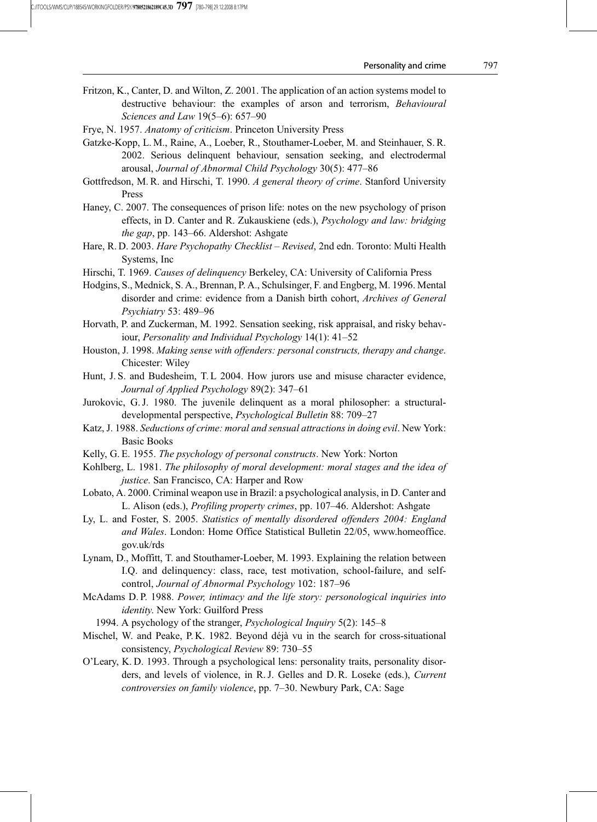Fritzon, K., Canter, D. and Wilton, Z. 2001. The application of an action systems model to destructive behaviour: the examples of arson and terrorism, Behavioural Sciences and Law 19(5–6): 657–90

Frye, N. 1957. Anatomy of criticism. Princeton University Press

- Gatzke-Kopp, L. M., Raine, A., Loeber, R., Stouthamer-Loeber, M. and Steinhauer, S. R. 2002. Serious delinquent behaviour, sensation seeking, and electrodermal arousal, Journal of Abnormal Child Psychology 30(5): 477–86
- Gottfredson, M. R. and Hirschi, T. 1990. A general theory of crime. Stanford University Press
- Haney, C. 2007. The consequences of prison life: notes on the new psychology of prison effects, in D. Canter and R. Zukauskiene (eds.), Psychology and law: bridging the gap, pp. 143–66. Aldershot: Ashgate
- Hare, R. D. 2003. Hare Psychopathy Checklist Revised, 2nd edn. Toronto: Multi Health Systems, Inc
- Hirschi, T. 1969. Causes of delinquency Berkeley, CA: University of California Press
- Hodgins, S., Mednick, S. A., Brennan, P. A., Schulsinger, F. and Engberg, M. 1996. Mental disorder and crime: evidence from a Danish birth cohort, Archives of General Psychiatry 53: 489–96
- Horvath, P. and Zuckerman, M. 1992. Sensation seeking, risk appraisal, and risky behaviour, Personality and Individual Psychology 14(1): 41–52
- Houston, J. 1998. Making sense with offenders: personal constructs, therapy and change. Chicester: Wiley
- Hunt, J. S. and Budesheim, T. L 2004. How jurors use and misuse character evidence, Journal of Applied Psychology 89(2): 347–61
- Jurokovic, G. J. 1980. The juvenile delinquent as a moral philosopher: a structuraldevelopmental perspective, Psychological Bulletin 88: 709–27
- Katz, J. 1988. Seductions of crime: moral and sensual attractions in doing evil. New York: Basic Books
- Kelly, G. E. 1955. The psychology of personal constructs. New York: Norton
- Kohlberg, L. 1981. The philosophy of moral development: moral stages and the idea of justice. San Francisco, CA: Harper and Row
- Lobato, A. 2000. Criminal weapon use in Brazil: a psychological analysis, in D. Canter and L. Alison (eds.), Profiling property crimes, pp. 107–46. Aldershot: Ashgate
- Ly, L. and Foster, S. 2005. Statistics of mentally disordered offenders 2004: England and Wales. London: Home Office Statistical Bulletin 22/05, www.homeoffice. gov.uk/rds
- Lynam, D., Moffitt, T. and Stouthamer-Loeber, M. 1993. Explaining the relation between I.Q. and delinquency: class, race, test motivation, school-failure, and selfcontrol, Journal of Abnormal Psychology 102: 187–96
- McAdams D. P. 1988. Power, intimacy and the life story: personological inquiries into identity. New York: Guilford Press
	- 1994. A psychology of the stranger, Psychological Inquiry 5(2): 145–8
- Mischel, W. and Peake, P. K. 1982. Beyond déjà vu in the search for cross-situational consistency, Psychological Review 89: 730–55
- O'Leary, K. D. 1993. Through a psychological lens: personality traits, personality disorders, and levels of violence, in R. J. Gelles and D. R. Loseke (eds.), Current controversies on family violence, pp. 7–30. Newbury Park, CA: Sage